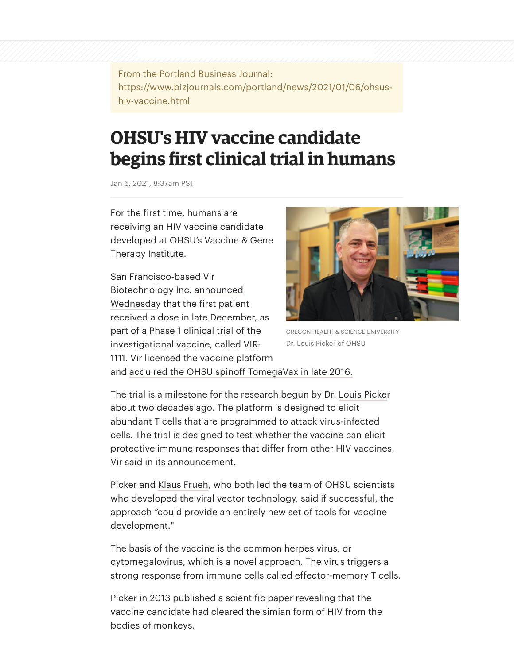From the Portland Business Journal: https://www.bizjournals.com/portland/news/2021/01/06/ohsushiv-vaccine.html

## **OHSU's HIV vaccine candidate begins first clinical trial in humans**

Jan 6, 2021, 8:37am PST

For the first time, humans are receiving an HIV vaccine candidate developed at OHSU's Vaccine & Gene Therapy Institute.

San Francisco-based Vir [Biotechnology Inc. announced](https://investors.vir.bio/news-releases/news-release-details/vir-biotechnology-announces-initiation-phase-1-clinical-trial) Wednesday that the first patient received a dose in late December, as part of a Phase 1 clinical trial of the investigational vaccine, called VIR-1111. Vir licensed the vaccine platform



OREGON HEALTH & SCIENCE UNIVERSITY Dr. Louis Picker of OHSU

and [acquired the OHSU spinoff TomegaVax in late 2016.](https://www.bizjournals.com/portland/news/2018/06/14/how-a-600m-jolt-could-get-ohsus-promising-aids.html)

The trial is a milestone for the research begun by Dr. [Louis Picke](https://www.bizjournals.com/portland/search/results?q=Louis%20Picke)r about two decades ago. The platform is designed to elicit abundant T cells that are programmed to attack virus-infected cells. The trial is designed to test whether the vaccine can elicit protective immune responses that differ from other HIV vaccines, Vir said in its announcement.

Picker and [Klaus Frueh](https://www.bizjournals.com/portland/search/results?q=Klaus%20Frueh), who both led the team of OHSU scientists who developed the viral vector technology, said if successful, the approach "could provide an entirely new set of tools for vaccine development."

The basis of the vaccine is the common herpes virus, or cytomegalovirus, which is a novel approach. The virus triggers a strong response from immune cells called effector-memory T cells.

Picker in 2013 published a scientific paper revealing that the vaccine candidate had cleared the simian form of HIV from the bodies of monkeys.